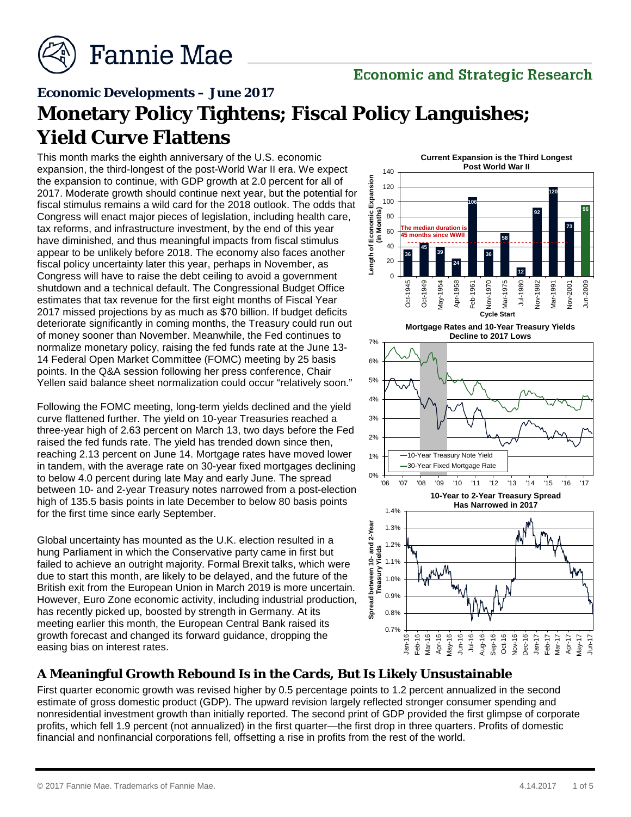

#### **Economic Developments – June 2017**

# **Monetary Policy Tightens; Fiscal Policy Languishes; Yield Curve Flattens**

This month marks the eighth anniversary of the U.S. economic expansion, the third-longest of the post-World War II era. We expect the expansion to continue, with GDP growth at 2.0 percent for all of 2017. Moderate growth should continue next year, but the potential for fiscal stimulus remains a wild card for the 2018 outlook. The odds that Congress will enact major pieces of legislation, including health care, tax reforms, and infrastructure investment, by the end of this year have diminished, and thus meaningful impacts from fiscal stimulus appear to be unlikely before 2018. The economy also faces another fiscal policy uncertainty later this year, perhaps in November, as Congress will have to raise the debt ceiling to avoid a government shutdown and a technical default. The Congressional Budget Office estimates that tax revenue for the first eight months of Fiscal Year 2017 missed projections by as much as \$70 billion. If budget deficits deteriorate significantly in coming months, the Treasury could run out of money sooner than November. Meanwhile, the Fed continues to normalize monetary policy, raising the fed funds rate at the June 13- 14 Federal Open Market Committee (FOMC) meeting by 25 basis points. In the Q&A session following her press conference, Chair Yellen said balance sheet normalization could occur "relatively soon."

Following the FOMC meeting, long-term yields declined and the yield curve flattened further. The yield on 10-year Treasuries reached a three-year high of 2.63 percent on March 13, two days before the Fed raised the fed funds rate. The yield has trended down since then, reaching 2.13 percent on June 14. Mortgage rates have moved lower in tandem, with the average rate on 30-year fixed mortgages declining to below 4.0 percent during late May and early June. The spread between 10- and 2-year Treasury notes narrowed from a post-election high of 135.5 basis points in late December to below 80 basis points for the first time since early September.

Global uncertainty has mounted as the U.K. election resulted in a hung Parliament in which the Conservative party came in first but failed to achieve an outright majority. Formal Brexit talks, which were due to start this month, are likely to be delayed, and the future of the British exit from the European Union in March 2019 is more uncertain. However, Euro Zone economic activity, including industrial production, has recently picked up, boosted by strength in Germany. At its meeting earlier this month, the European Central Bank raised its growth forecast and changed its forward guidance, dropping the easing bias on interest rates.



**Mortgage Rates and 10-Year Treasury Yields Decline to 2017 Lows**



### **A Meaningful Growth Rebound Is in the Cards, But Is Likely Unsustainable**

First quarter economic growth was revised higher by 0.5 percentage points to 1.2 percent annualized in the second estimate of gross domestic product (GDP). The upward revision largely reflected stronger consumer spending and nonresidential investment growth than initially reported. The second print of GDP provided the first glimpse of corporate profits, which fell 1.9 percent (not annualized) in the first quarter—the first drop in three quarters. Profits of domestic financial and nonfinancial corporations fell, offsetting a rise in profits from the rest of the world.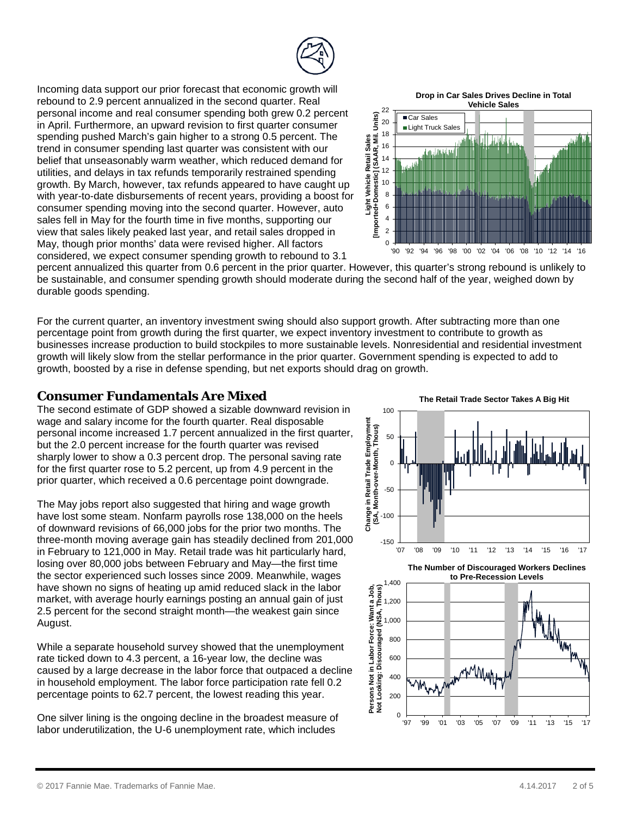

Incoming data support our prior forecast that economic growth will rebound to 2.9 percent annualized in the second quarter. Real personal income and real consumer spending both grew 0.2 percent in April. Furthermore, an upward revision to first quarter consumer spending pushed March's gain higher to a strong 0.5 percent. The trend in consumer spending last quarter was consistent with our belief that unseasonably warm weather, which reduced demand for utilities, and delays in tax refunds temporarily restrained spending growth. By March, however, tax refunds appeared to have caught up with year-to-date disbursements of recent years, providing a boost for consumer spending moving into the second quarter. However, auto sales fell in May for the fourth time in five months, supporting our view that sales likely peaked last year, and retail sales dropped in May, though prior months' data were revised higher. All factors considered, we expect consumer spending growth to rebound to 3.1

**Drop in Car Sales Drives Decline in Total** 



percent annualized this quarter from 0.6 percent in the prior quarter. However, this quarter's strong rebound is unlikely to be sustainable, and consumer spending growth should moderate during the second half of the year, weighed down by durable goods spending.

For the current quarter, an inventory investment swing should also support growth. After subtracting more than one percentage point from growth during the first quarter, we expect inventory investment to contribute to growth as businesses increase production to build stockpiles to more sustainable levels. Nonresidential and residential investment growth will likely slow from the stellar performance in the prior quarter. Government spending is expected to add to growth, boosted by a rise in defense spending, but net exports should drag on growth.

#### **Consumer Fundamentals Are Mixed**

The second estimate of GDP showed a sizable downward revision in wage and salary income for the fourth quarter. Real disposable personal income increased 1.7 percent annualized in the first quarter, but the 2.0 percent increase for the fourth quarter was revised sharply lower to show a 0.3 percent drop. The personal saving rate for the first quarter rose to 5.2 percent, up from 4.9 percent in the prior quarter, which received a 0.6 percentage point downgrade.

The May jobs report also suggested that hiring and wage growth have lost some steam. Nonfarm payrolls rose 138,000 on the heels of downward revisions of 66,000 jobs for the prior two months. The three-month moving average gain has steadily declined from 201,000 in February to 121,000 in May. Retail trade was hit particularly hard, losing over 80,000 jobs between February and May—the first time the sector experienced such losses since 2009. Meanwhile, wages have shown no signs of heating up amid reduced slack in the labor market, with average hourly earnings posting an annual gain of just 2.5 percent for the second straight month—the weakest gain since August.

While a separate household survey showed that the unemployment rate ticked down to 4.3 percent, a 16-year low, the decline was caused by a large decrease in the labor force that outpaced a decline in household employment. The labor force participation rate fell 0.2 percentage points to 62.7 percent, the lowest reading this year.

One silver lining is the ongoing decline in the broadest measure of labor underutilization, the U-6 unemployment rate, which includes

**The Retail Trade Sector Takes A Big Hit**



**The Number of Discouraged Workers Declines** 

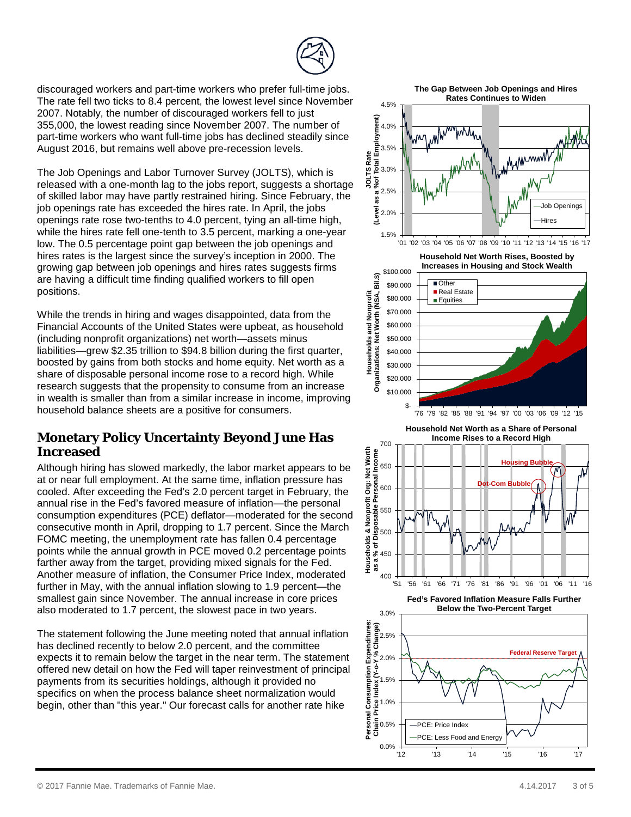discouraged workers and part-time workers who prefer full-time jobs. The rate fell two ticks to 8.4 percent, the lowest level since November 2007. Notably, the number of discouraged workers fell to just 355,000, the lowest reading since November 2007. The number of part-time workers who want full-time jobs has declined steadily since August 2016, but remains well above pre-recession levels.

The Job Openings and Labor Turnover Survey (JOLTS), which is released with a one-month lag to the jobs report, suggests a shortage of skilled labor may have partly restrained hiring. Since February, the job openings rate has exceeded the hires rate. In April, the jobs openings rate rose two-tenths to 4.0 percent, tying an all-time high, while the hires rate fell one-tenth to 3.5 percent, marking a one-year low. The 0.5 percentage point gap between the job openings and hires rates is the largest since the survey's inception in 2000. The growing gap between job openings and hires rates suggests firms are having a difficult time finding qualified workers to fill open positions.

While the trends in hiring and wages disappointed, data from the Financial Accounts of the United States were upbeat, as household (including nonprofit organizations) net worth—assets minus liabilities—grew \$2.35 trillion to \$94.8 billion during the first quarter, boosted by gains from both stocks and home equity. Net worth as a share of disposable personal income rose to a record high. While research suggests that the propensity to consume from an increase in wealth is smaller than from a similar increase in income, improving household balance sheets are a positive for consumers.

### **Monetary Policy Uncertainty Beyond June Has Increased**

Although hiring has slowed markedly, the labor market appears to be at or near full employment. At the same time, inflation pressure has cooled. After exceeding the Fed's 2.0 percent target in February, the annual rise in the Fed's favored measure of inflation—the personal consumption expenditures (PCE) deflator—moderated for the second consecutive month in April, dropping to 1.7 percent. Since the March FOMC meeting, the unemployment rate has fallen 0.4 percentage points while the annual growth in PCE moved 0.2 percentage points farther away from the target, providing mixed signals for the Fed. Another measure of inflation, the Consumer Price Index, moderated further in May, with the annual inflation slowing to 1.9 percent—the smallest gain since November. The annual increase in core prices also moderated to 1.7 percent, the slowest pace in two years.

The statement following the June meeting noted that annual inflation has declined recently to below 2.0 percent, and the committee expects it to remain below the target in the near term. The statement offered new detail on how the Fed will taper reinvestment of principal payments from its securities holdings, although it provided no specifics on when the process balance sheet normalization would begin, other than "this year." Our forecast calls for another rate hike

**The Gap Between Job Openings and Hires** 





**Fed's Favored Inflation Measure Falls Further Below the Two-Percent Target**

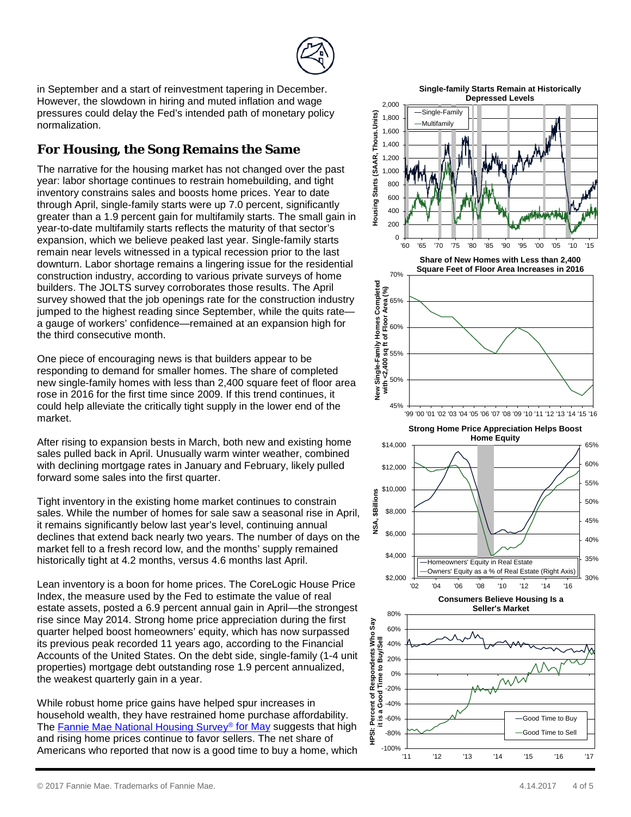

in September and a start of reinvestment tapering in December. However, the slowdown in hiring and muted inflation and wage pressures could delay the Fed's intended path of monetary policy normalization.

## **For Housing, the Song Remains the Same**

The narrative for the housing market has not changed over the past year: labor shortage continues to restrain homebuilding, and tight inventory constrains sales and boosts home prices. Year to date through April, single-family starts were up 7.0 percent, significantly greater than a 1.9 percent gain for multifamily starts. The small gain in year-to-date multifamily starts reflects the maturity of that sector's expansion, which we believe peaked last year. Single-family starts remain near levels witnessed in a typical recession prior to the last downturn. Labor shortage remains a lingering issue for the residential construction industry, according to various private surveys of home builders. The JOLTS survey corroborates those results. The April survey showed that the job openings rate for the construction industry jumped to the highest reading since September, while the quits rate a gauge of workers' confidence—remained at an expansion high for the third consecutive month.

One piece of encouraging news is that builders appear to be responding to demand for smaller homes. The share of completed new single-family homes with less than 2,400 square feet of floor area rose in 2016 for the first time since 2009. If this trend continues, it could help alleviate the critically tight supply in the lower end of the market.

After rising to expansion bests in March, both new and existing home sales pulled back in April. Unusually warm winter weather, combined with declining mortgage rates in January and February, likely pulled forward some sales into the first quarter.

Tight inventory in the existing home market continues to constrain sales. While the number of homes for sale saw a seasonal rise in April, it remains significantly below last year's level, continuing annual declines that extend back nearly two years. The number of days on the market fell to a fresh record low, and the months' supply remained historically tight at 4.2 months, versus 4.6 months last April.

Lean inventory is a boon for home prices. The CoreLogic House Price Index, the measure used by the Fed to estimate the value of real estate assets, posted a 6.9 percent annual gain in April—the strongest rise since May 2014. Strong home price appreciation during the first quarter helped boost homeowners' equity, which has now surpassed its previous peak recorded 11 years ago, according to the Financial Accounts of the United States. On the debt side, single-family (1-4 unit properties) mortgage debt outstanding rose 1.9 percent annualized, the weakest quarterly gain in a year.

While robust home price gains have helped spur increases in household wealth, they have restrained home purchase affordability. The [Fannie Mae National Housing Survey®](http://www.fanniemae.com/portal/media/corporate-news/2017/may-home-purchase-sentiment-index-6566.html) for May suggests that high and rising home prices continue to favor sellers. The net share of Americans who reported that now is a good time to buy a home, which

**Single-family Starts Remain at Historically Depressed Levels**